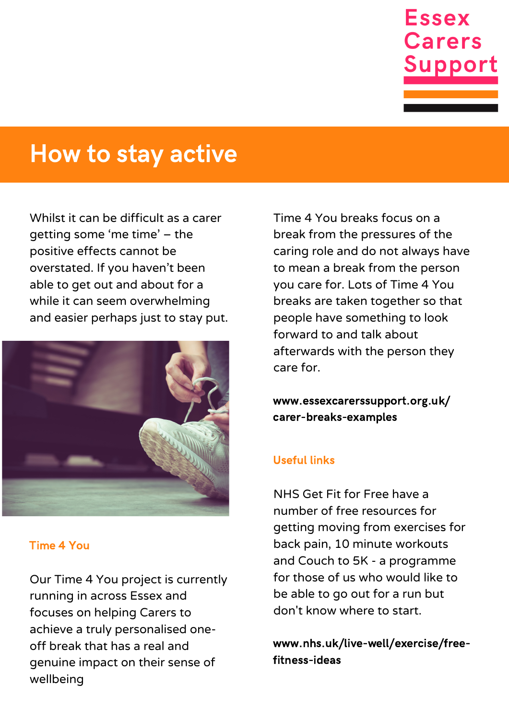

# How to stay active

Whilst it can be difficult as a carer getting some 'me time' – the positive effects cannot be overstated. If you haven't been able to get out and about for a while it can seem overwhelming and easier perhaps just to stay put.



#### Time 4 You

Our Time 4 You project is currently running in across Essex and focuses on helping Carers to achieve a truly personalised oneoff break that has a real and genuine impact on their sense of wellbeing

Time 4 You breaks focus on a break from the pressures of the caring role and do not always have to mean a break from the person you care for. Lots of Time 4 You breaks are taken together so that people have something to look forward to and talk about afterwards with the person they care for.

www.essexcarerssupport.org.uk/ carer-breaks-examples

#### Useful links

NHS Get Fit for Free have a number of free resources for getting moving from exercises for back pain, 10 minute workouts and Couch to 5K - a programme for those of us who would like to be able to go out for a run but don't know where to start.

www.nhs.uk/live-well/exercise/freefitness-ideas